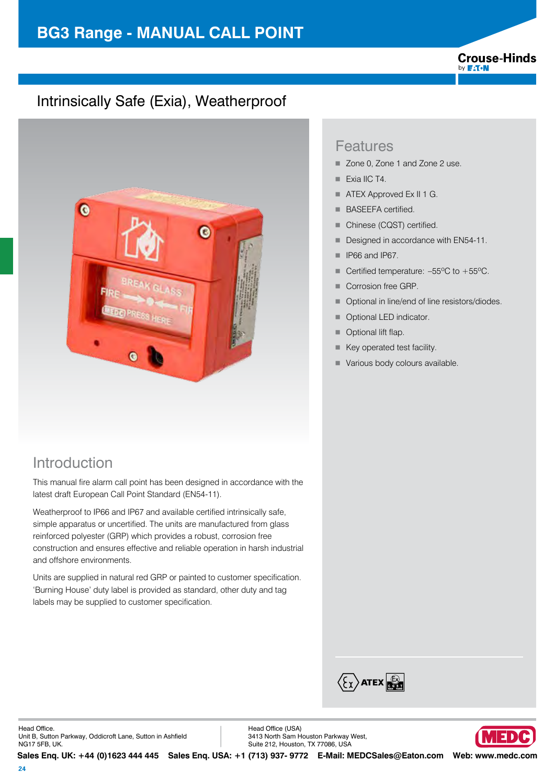### **Crouse-Hinds** by **F:T.N**

## Intrinsically Safe (Exia), Weatherproof



## Introduction

This manual fire alarm call point has been designed in accordance with the latest draft European Call Point Standard (EN54-11).

Weatherproof to IP66 and IP67 and available certified intrinsically safe, simple apparatus or uncertified. The units are manufactured from glass reinforced polyester (GRP) which provides a robust, corrosion free construction and ensures effective and reliable operation in harsh industrial and offshore environments.

Units are supplied in natural red GRP or painted to customer specification. 'Burning House' duty label is provided as standard, other duty and tag labels may be supplied to customer specification.

## Features

- Zone 0, Zone 1 and Zone 2 use.
- $\blacksquare$  Exia IIC T4.
- **4 ATEX Approved Ex II 1 G.**
- BASEEFA certified.
- Chinese (CQST) certified.
- **Designed in accordance with EN54-11.**
- **F** IP66 and IP67.
- Certified temperature:  $-55^{\circ}$ C to  $+55^{\circ}$ C.
- Corrosion free GRP.
- Optional in line/end of line resistors/diodes.
- Optional LED indicator.
- $\blacksquare$  Optional lift flap.
- $\blacksquare$  Key operated test facility.
- Various body colours available.



Head Ofice. Unit B, Sutton Parkway, Oddicroft Lane, Sutton in Ashield NG17 5FB, UK.

Head Ofice (USA) 3413 North Sam Houston Parkway West, Suite 212, Houston, TX 77086, USA



**Sales Enq. UK: +44 (0)1623 444 445 Sales Enq. USA: +1 (713) 937- 9772 E-Mail: MEDCSales@Eaton.com Web: www.medc.com**